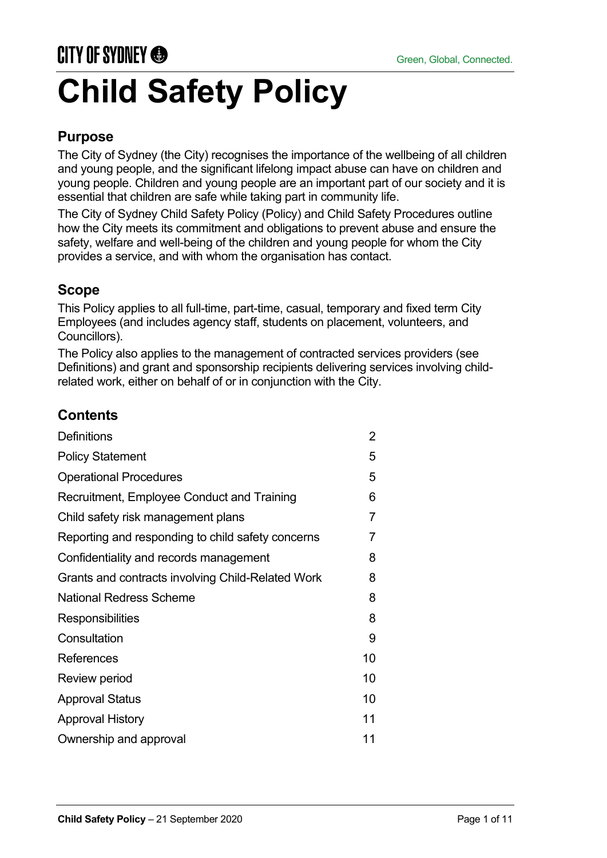# **CITY OF SYDNEY ® Child Safety Policy**

## **Purpose**

The City of Sydney (the City) recognises the importance of the wellbeing of all children and young people, and the significant lifelong impact abuse can have on children and young people. Children and young people are an important part of our society and it is essential that children are safe while taking part in community life.

The City of Sydney Child Safety Policy (Policy) and Child Safety Procedures outline how the City meets its commitment and obligations to prevent abuse and ensure the safety, welfare and well-being of the children and young people for whom the City provides a service, and with whom the organisation has contact.

## **Scope**

This Policy applies to all full-time, part-time, casual, temporary and fixed term City Employees (and includes agency staff, students on placement, volunteers, and Councillors).

The Policy also applies to the management of contracted services providers (see Definitions) and grant and sponsorship recipients delivering services involving childrelated work, either on behalf of or in conjunction with the City.

## **Contents**

| <b>Definitions</b>                                | $\overline{2}$ |
|---------------------------------------------------|----------------|
| <b>Policy Statement</b>                           | 5              |
| <b>Operational Procedures</b>                     | 5              |
| Recruitment, Employee Conduct and Training        | 6              |
| Child safety risk management plans                | $\overline{7}$ |
| Reporting and responding to child safety concerns | 7              |
| Confidentiality and records management            | 8              |
| Grants and contracts involving Child-Related Work | 8              |
| <b>National Redress Scheme</b>                    | 8              |
| Responsibilities                                  | 8              |
| Consultation                                      | 9              |
| References                                        | 10             |
| Review period                                     | 10             |
| <b>Approval Status</b>                            | 10             |
| <b>Approval History</b>                           | 11             |
| Ownership and approval                            | 11             |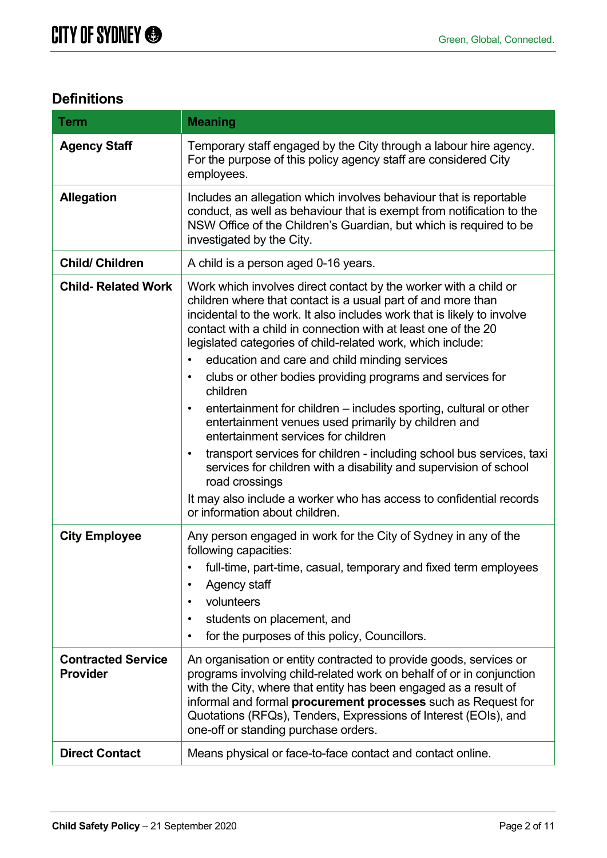# **Definitions**

| <b>Term</b>                                  | <b>Meaning</b>                                                                                                                                                                                                                                                                                                                                                                                                                                                                                                                                                                                                                                                                                                                                                                                                                                                                                                                                                         |  |  |
|----------------------------------------------|------------------------------------------------------------------------------------------------------------------------------------------------------------------------------------------------------------------------------------------------------------------------------------------------------------------------------------------------------------------------------------------------------------------------------------------------------------------------------------------------------------------------------------------------------------------------------------------------------------------------------------------------------------------------------------------------------------------------------------------------------------------------------------------------------------------------------------------------------------------------------------------------------------------------------------------------------------------------|--|--|
| <b>Agency Staff</b>                          | Temporary staff engaged by the City through a labour hire agency.<br>For the purpose of this policy agency staff are considered City<br>employees.                                                                                                                                                                                                                                                                                                                                                                                                                                                                                                                                                                                                                                                                                                                                                                                                                     |  |  |
| <b>Allegation</b>                            | Includes an allegation which involves behaviour that is reportable<br>conduct, as well as behaviour that is exempt from notification to the<br>NSW Office of the Children's Guardian, but which is required to be<br>investigated by the City.                                                                                                                                                                                                                                                                                                                                                                                                                                                                                                                                                                                                                                                                                                                         |  |  |
| <b>Child/ Children</b>                       | A child is a person aged 0-16 years.                                                                                                                                                                                                                                                                                                                                                                                                                                                                                                                                                                                                                                                                                                                                                                                                                                                                                                                                   |  |  |
| <b>Child-Related Work</b>                    | Work which involves direct contact by the worker with a child or<br>children where that contact is a usual part of and more than<br>incidental to the work. It also includes work that is likely to involve<br>contact with a child in connection with at least one of the 20<br>legislated categories of child-related work, which include:<br>education and care and child minding services<br>$\bullet$<br>clubs or other bodies providing programs and services for<br>$\bullet$<br>children<br>entertainment for children – includes sporting, cultural or other<br>$\bullet$<br>entertainment venues used primarily by children and<br>entertainment services for children<br>transport services for children - including school bus services, taxi<br>$\bullet$<br>services for children with a disability and supervision of school<br>road crossings<br>It may also include a worker who has access to confidential records<br>or information about children. |  |  |
| <b>City Employee</b>                         | Any person engaged in work for the City of Sydney in any of the<br>following capacities:<br>full-time, part-time, casual, temporary and fixed term employees<br>Agency staff<br>$\bullet$<br>volunteers<br>students on placement, and<br>$\bullet$<br>for the purposes of this policy, Councillors.<br>$\bullet$                                                                                                                                                                                                                                                                                                                                                                                                                                                                                                                                                                                                                                                       |  |  |
| <b>Contracted Service</b><br><b>Provider</b> | An organisation or entity contracted to provide goods, services or<br>programs involving child-related work on behalf of or in conjunction<br>with the City, where that entity has been engaged as a result of<br>informal and formal <b>procurement processes</b> such as Request for<br>Quotations (RFQs), Tenders, Expressions of Interest (EOIs), and<br>one-off or standing purchase orders.                                                                                                                                                                                                                                                                                                                                                                                                                                                                                                                                                                      |  |  |
| <b>Direct Contact</b>                        | Means physical or face-to-face contact and contact online.                                                                                                                                                                                                                                                                                                                                                                                                                                                                                                                                                                                                                                                                                                                                                                                                                                                                                                             |  |  |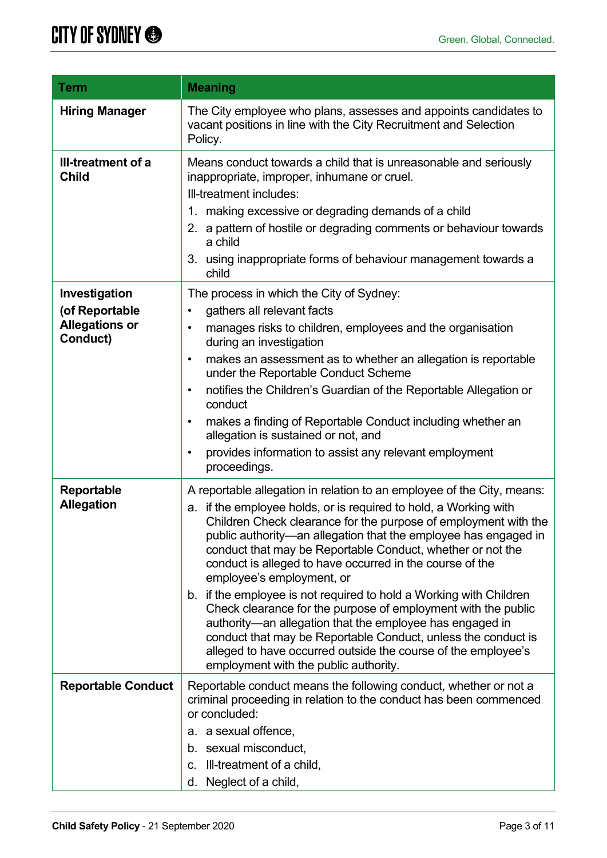| Term                                                                 | <b>Meaning</b>                                                                                                                                                                                                                                                                                                                                                                                                                                                                                                                                                                                                                                                                                                                                                                                                           |
|----------------------------------------------------------------------|--------------------------------------------------------------------------------------------------------------------------------------------------------------------------------------------------------------------------------------------------------------------------------------------------------------------------------------------------------------------------------------------------------------------------------------------------------------------------------------------------------------------------------------------------------------------------------------------------------------------------------------------------------------------------------------------------------------------------------------------------------------------------------------------------------------------------|
| <b>Hiring Manager</b>                                                | The City employee who plans, assesses and appoints candidates to<br>vacant positions in line with the City Recruitment and Selection<br>Policy.                                                                                                                                                                                                                                                                                                                                                                                                                                                                                                                                                                                                                                                                          |
| III-treatment of a<br><b>Child</b>                                   | Means conduct towards a child that is unreasonable and seriously<br>inappropriate, improper, inhumane or cruel.<br>Ill-treatment includes:<br>making excessive or degrading demands of a child<br>1.<br>a pattern of hostile or degrading comments or behaviour towards<br>2.<br>a child<br>3. using inappropriate forms of behaviour management towards a<br>child                                                                                                                                                                                                                                                                                                                                                                                                                                                      |
| Investigation<br>(of Reportable<br><b>Allegations or</b><br>Conduct) | The process in which the City of Sydney:<br>gathers all relevant facts<br>$\bullet$<br>manages risks to children, employees and the organisation<br>$\bullet$<br>during an investigation<br>makes an assessment as to whether an allegation is reportable<br>$\bullet$<br>under the Reportable Conduct Scheme<br>notifies the Children's Guardian of the Reportable Allegation or<br>٠<br>conduct<br>makes a finding of Reportable Conduct including whether an<br>$\bullet$<br>allegation is sustained or not, and<br>provides information to assist any relevant employment<br>٠<br>proceedings.                                                                                                                                                                                                                       |
| Reportable<br><b>Allegation</b>                                      | A reportable allegation in relation to an employee of the City, means:<br>if the employee holds, or is required to hold, a Working with<br>a.<br>Children Check clearance for the purpose of employment with the<br>public authority-an allegation that the employee has engaged in<br>conduct that may be Reportable Conduct, whether or not the<br>conduct is alleged to have occurred in the course of the<br>employee's employment, or<br>b. if the employee is not required to hold a Working with Children<br>Check clearance for the purpose of employment with the public<br>authority—an allegation that the employee has engaged in<br>conduct that may be Reportable Conduct, unless the conduct is<br>alleged to have occurred outside the course of the employee's<br>employment with the public authority. |
| <b>Reportable Conduct</b>                                            | Reportable conduct means the following conduct, whether or not a<br>criminal proceeding in relation to the conduct has been commenced<br>or concluded:<br>a. a sexual offence,<br>b. sexual misconduct,<br>Ill-treatment of a child,<br>C.<br>Neglect of a child,<br>d.                                                                                                                                                                                                                                                                                                                                                                                                                                                                                                                                                  |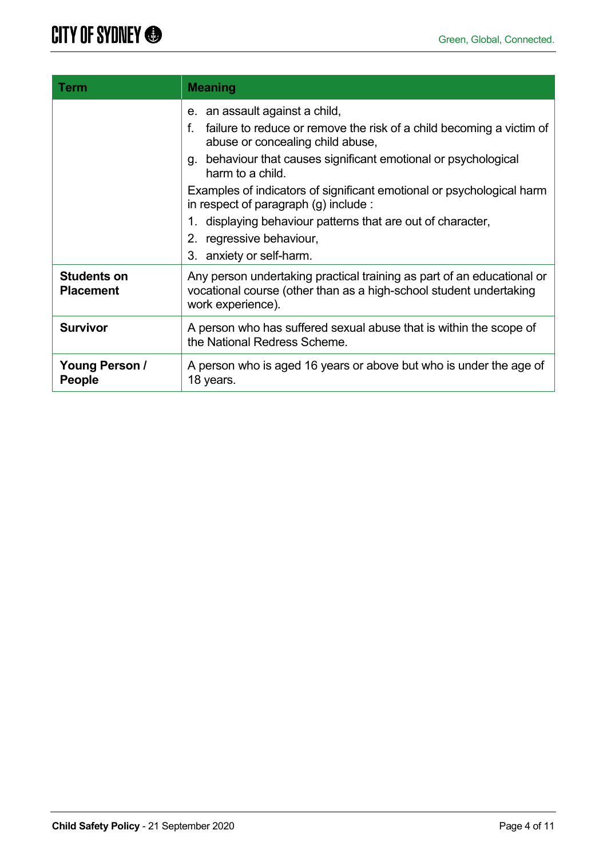| <b>Term</b>                            | <b>Meaning</b>                                                                                                                                                                                                                                                                                                                                                                                                                                                                  |  |
|----------------------------------------|---------------------------------------------------------------------------------------------------------------------------------------------------------------------------------------------------------------------------------------------------------------------------------------------------------------------------------------------------------------------------------------------------------------------------------------------------------------------------------|--|
|                                        | e. an assault against a child,<br>f.<br>failure to reduce or remove the risk of a child becoming a victim of<br>abuse or concealing child abuse,<br>g. behaviour that causes significant emotional or psychological<br>harm to a child.<br>Examples of indicators of significant emotional or psychological harm<br>in respect of paragraph $(g)$ include :<br>displaying behaviour patterns that are out of character,<br>2. regressive behaviour,<br>3. anxiety or self-harm. |  |
| <b>Students on</b><br><b>Placement</b> | Any person undertaking practical training as part of an educational or<br>vocational course (other than as a high-school student undertaking<br>work experience).                                                                                                                                                                                                                                                                                                               |  |
| <b>Survivor</b>                        | A person who has suffered sexual abuse that is within the scope of<br>the National Redress Scheme.                                                                                                                                                                                                                                                                                                                                                                              |  |
| Young Person /<br><b>People</b>        | A person who is aged 16 years or above but who is under the age of<br>18 years.                                                                                                                                                                                                                                                                                                                                                                                                 |  |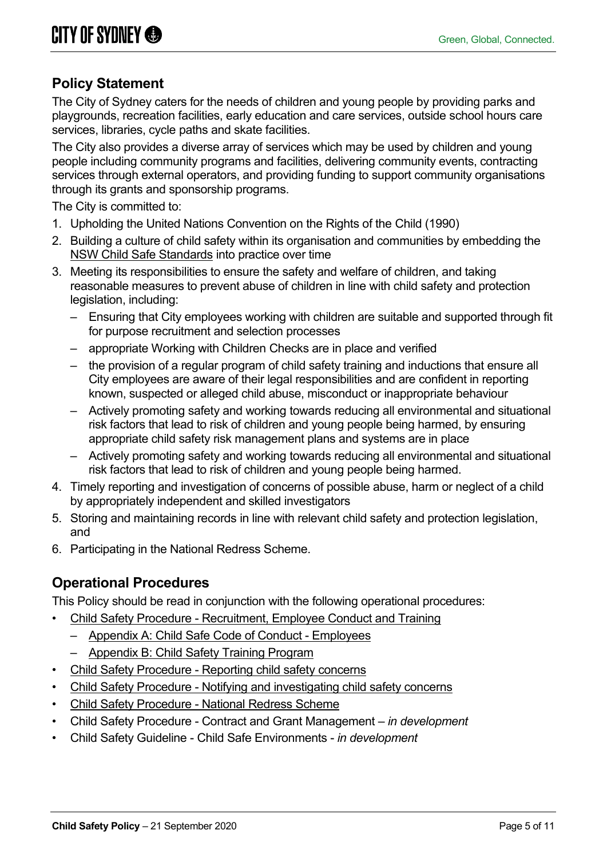# **Policy Statement**

The City of Sydney caters for the needs of children and young people by providing parks and playgrounds, recreation facilities, early education and care services, outside school hours care services, libraries, cycle paths and skate facilities.

The City also provides a diverse array of services which may be used by children and young people including community programs and facilities, delivering community events, contracting services through external operators, and providing funding to support community organisations through its grants and sponsorship programs.

The City is committed to:

- 1. Upholding the United Nations Convention on the Rights of the Child (1990)
- 2. Building a culture of child safety within its organisation and communities by embedding the [NSW Child Safe Standards](https://www.kidsguardian.nsw.gov.au/child-safe-organisations/training-and-resources/child-safe-standards) into practice over time
- 3. Meeting its responsibilities to ensure the safety and welfare of children, and taking reasonable measures to prevent abuse of children in line with child safety and protection legislation, including:
	- Ensuring that City employees working with children are suitable and supported through fit for purpose recruitment and selection processes
	- appropriate Working with Children Checks are in place and verified
	- the provision of a regular program of child safety training and inductions that ensure all City employees are aware of their legal responsibilities and are confident in reporting known, suspected or alleged child abuse, misconduct or inappropriate behaviour
	- Actively promoting safety and working towards reducing all environmental and situational risk factors that lead to risk of children and young people being harmed, by ensuring appropriate child safety risk management plans and systems are in place
	- Actively promoting safety and working towards reducing all environmental and situational risk factors that lead to risk of children and young people being harmed.
- 4. Timely reporting and investigation of concerns of possible abuse, harm or neglect of a child by appropriately independent and skilled investigators
- 5. Storing and maintaining records in line with relevant child safety and protection legislation, and
- 6. Participating in the National Redress Scheme.

## **Operational Procedures**

This Policy should be read in conjunction with the following operational procedures:

- Child Safety Procedure [Recruitment, Employee Conduct](https://record.cityofsydney.nsw.gov.au/2020/427577) and Training
	- [Appendix A: Child Safe Code of Conduct -](https://record.cityofsydney.nsw.gov.au/2020/325983-06) Employees
	- [Appendix B: Child Safety Training Program](https://record.cityofsydney.nsw.gov.au/2020/325983-05)
- Child Safety Procedure [Reporting child safety concerns](https://record.cityofsydney.nsw.gov.au/2020/427575)
- Child Safety Procedure [Notifying and investigating child safety concerns](https://record.cityofsydney.nsw.gov.au/2020/427573)
- Child Safety Procedure [National Redress Scheme](https://record.cityofsydney.nsw.gov.au/2020/427572)
- Child Safety Procedure Contract and Grant Management *in development*
- Child Safety Guideline Child Safe Environments *in development*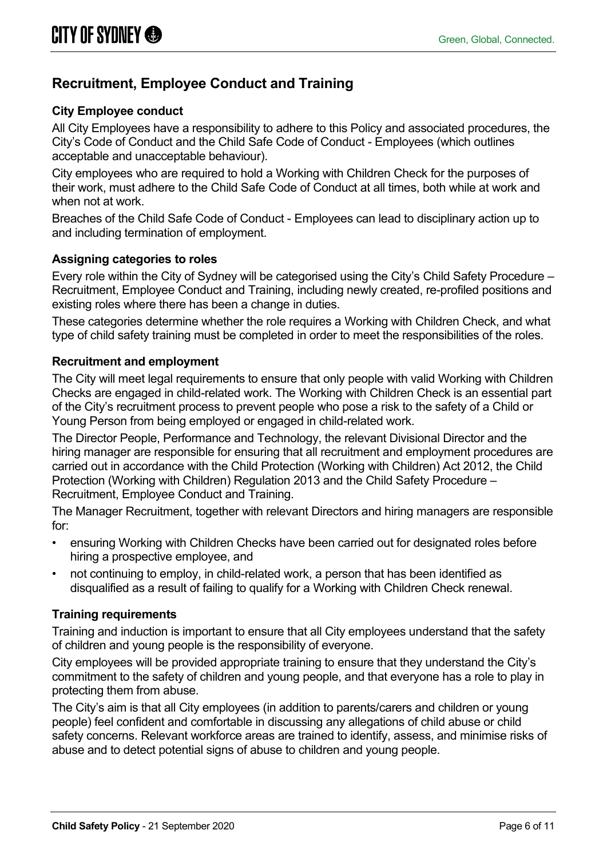# **Recruitment, Employee Conduct and Training**

#### **City Employee conduct**

All City Employees have a responsibility to adhere to this Policy and associated procedures, the City's Code of Conduct and the Child Safe Code of Conduct - Employees (which outlines acceptable and unacceptable behaviour).

City employees who are required to hold a Working with Children Check for the purposes of their work, must adhere to the Child Safe Code of Conduct at all times, both while at work and when not at work.

Breaches of the Child Safe Code of Conduct - Employees can lead to disciplinary action up to and including termination of employment.

#### **Assigning categories to roles**

Every role within the City of Sydney will be categorised using the City's Child Safety Procedure – Recruitment, Employee Conduct and Training, including newly created, re-profiled positions and existing roles where there has been a change in duties.

These categories determine whether the role requires a Working with Children Check, and what type of child safety training must be completed in order to meet the responsibilities of the roles.

#### **Recruitment and employment**

The City will meet legal requirements to ensure that only people with valid Working with Children Checks are engaged in child-related work. The Working with Children Check is an essential part of the City's recruitment process to prevent people who pose a risk to the safety of a Child or Young Person from being employed or engaged in child-related work.

The Director People, Performance and Technology, the relevant Divisional Director and the hiring manager are responsible for ensuring that all recruitment and employment procedures are carried out in accordance with the Child Protection (Working with Children) Act 2012, the Child Protection (Working with Children) Regulation 2013 and the Child Safety Procedure – Recruitment, Employee Conduct and Training.

The Manager Recruitment, together with relevant Directors and hiring managers are responsible for:

- ensuring Working with Children Checks have been carried out for designated roles before hiring a prospective employee, and
- not continuing to employ, in child-related work, a person that has been identified as disqualified as a result of failing to qualify for a Working with Children Check renewal.

#### **Training requirements**

Training and induction is important to ensure that all City employees understand that the safety of children and young people is the responsibility of everyone.

City employees will be provided appropriate training to ensure that they understand the City's commitment to the safety of children and young people, and that everyone has a role to play in protecting them from abuse.

The City's aim is that all City employees (in addition to parents/carers and children or young people) feel confident and comfortable in discussing any allegations of child abuse or child safety concerns. Relevant workforce areas are trained to identify, assess, and minimise risks of abuse and to detect potential signs of abuse to children and young people.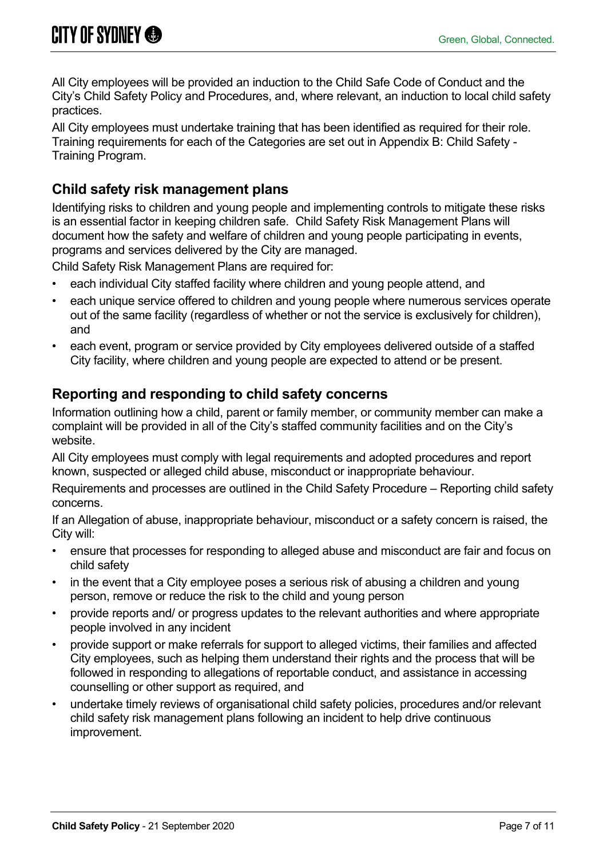All City employees will be provided an induction to the Child Safe Code of Conduct and the City's Child Safety Policy and Procedures, and, where relevant, an induction to local child safety practices.

All City employees must undertake training that has been identified as required for their role. Training requirements for each of the Categories are set out in Appendix B: Child Safety - Training Program.

# **Child safety risk management plans**

Identifying risks to children and young people and implementing controls to mitigate these risks is an essential factor in keeping children safe. Child Safety Risk Management Plans will document how the safety and welfare of children and young people participating in events, programs and services delivered by the City are managed.

Child Safety Risk Management Plans are required for:

- each individual City staffed facility where children and young people attend, and
- each unique service offered to children and young people where numerous services operate out of the same facility (regardless of whether or not the service is exclusively for children), and
- each event, program or service provided by City employees delivered outside of a staffed City facility, where children and young people are expected to attend or be present.

## **Reporting and responding to child safety concerns**

Information outlining how a child, parent or family member, or community member can make a complaint will be provided in all of the City's staffed community facilities and on the City's website.

All City employees must comply with legal requirements and adopted procedures and report known, suspected or alleged child abuse, misconduct or inappropriate behaviour.

Requirements and processes are outlined in the Child Safety Procedure – Reporting child safety concerns.

If an Allegation of abuse, inappropriate behaviour, misconduct or a safety concern is raised, the City will:

- ensure that processes for responding to alleged abuse and misconduct are fair and focus on child safety
- in the event that a City employee poses a serious risk of abusing a children and young person, remove or reduce the risk to the child and young person
- provide reports and/ or progress updates to the relevant authorities and where appropriate people involved in any incident
- provide support or make referrals for support to alleged victims, their families and affected City employees, such as helping them understand their rights and the process that will be followed in responding to allegations of reportable conduct, and assistance in accessing counselling or other support as required, and
- undertake timely reviews of organisational child safety policies, procedures and/or relevant child safety risk management plans following an incident to help drive continuous improvement.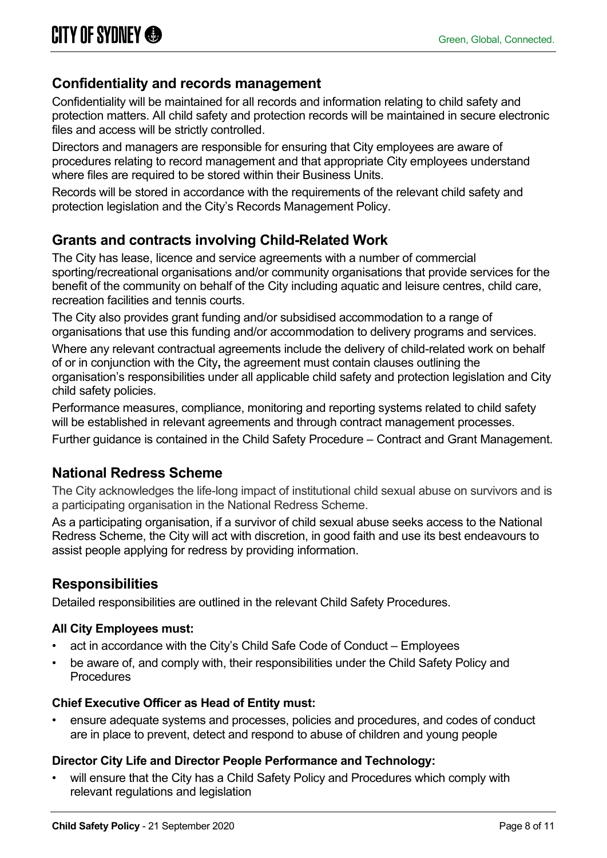# **Confidentiality and records management**

Confidentiality will be maintained for all records and information relating to child safety and protection matters. All child safety and protection records will be maintained in secure electronic files and access will be strictly controlled.

Directors and managers are responsible for ensuring that City employees are aware of procedures relating to record management and that appropriate City employees understand where files are required to be stored within their Business Units.

Records will be stored in accordance with the requirements of the relevant child safety and protection legislation and the City's Records Management Policy.

# **Grants and contracts involving Child-Related Work**

The City has lease, licence and service agreements with a number of commercial sporting/recreational organisations and/or community organisations that provide services for the benefit of the community on behalf of the City including aquatic and leisure centres, child care, recreation facilities and tennis courts.

The City also provides grant funding and/or subsidised accommodation to a range of organisations that use this funding and/or accommodation to delivery programs and services.

Where any relevant contractual agreements include the delivery of child-related work on behalf of or in conjunction with the City**,** the agreement must contain clauses outlining the organisation's responsibilities under all applicable child safety and protection legislation and City child safety policies.

Performance measures, compliance, monitoring and reporting systems related to child safety will be established in relevant agreements and through contract management processes.

Further guidance is contained in the Child Safety Procedure – Contract and Grant Management.

## **National Redress Scheme**

The City acknowledges the life-long impact of institutional child sexual abuse on survivors and is a participating organisation in the National Redress Scheme.

As a participating organisation, if a survivor of child sexual abuse seeks access to the National Redress Scheme, the City will act with discretion, in good faith and use its best endeavours to assist people applying for redress by providing information.

## **Responsibilities**

Detailed responsibilities are outlined in the relevant Child Safety Procedures.

#### **All City Employees must:**

- act in accordance with the City's Child Safe Code of Conduct Employees
- be aware of, and comply with, their responsibilities under the Child Safety Policy and **Procedures**

#### **Chief Executive Officer as Head of Entity must:**

• ensure adequate systems and processes, policies and procedures, and codes of conduct are in place to prevent, detect and respond to abuse of children and young people

#### **Director City Life and Director People Performance and Technology:**

will ensure that the City has a Child Safety Policy and Procedures which comply with relevant regulations and legislation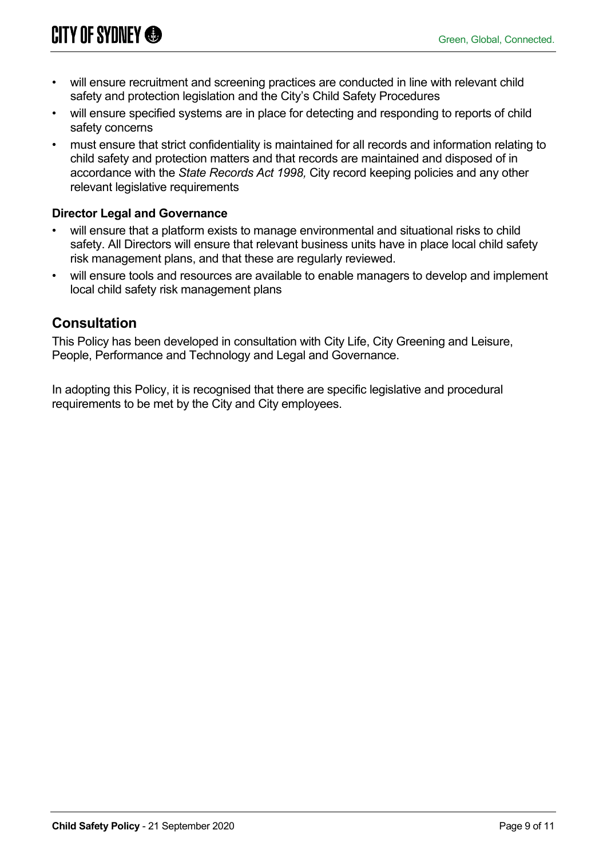- will ensure recruitment and screening practices are conducted in line with relevant child safety and protection legislation and the City's Child Safety Procedures
- will ensure specified systems are in place for detecting and responding to reports of child safety concerns
- must ensure that strict confidentiality is maintained for all records and information relating to child safety and protection matters and that records are maintained and disposed of in accordance with the *State Records Act 1998,* City record keeping policies and any other relevant legislative requirements

#### **Director Legal and Governance**

- will ensure that a platform exists to manage environmental and situational risks to child safety. All Directors will ensure that relevant business units have in place local child safety risk management plans, and that these are regularly reviewed.
- will ensure tools and resources are available to enable managers to develop and implement local child safety risk management plans

## **Consultation**

This Policy has been developed in consultation with City Life, City Greening and Leisure, People, Performance and Technology and Legal and Governance.

In adopting this Policy, it is recognised that there are specific legislative and procedural requirements to be met by the City and City employees.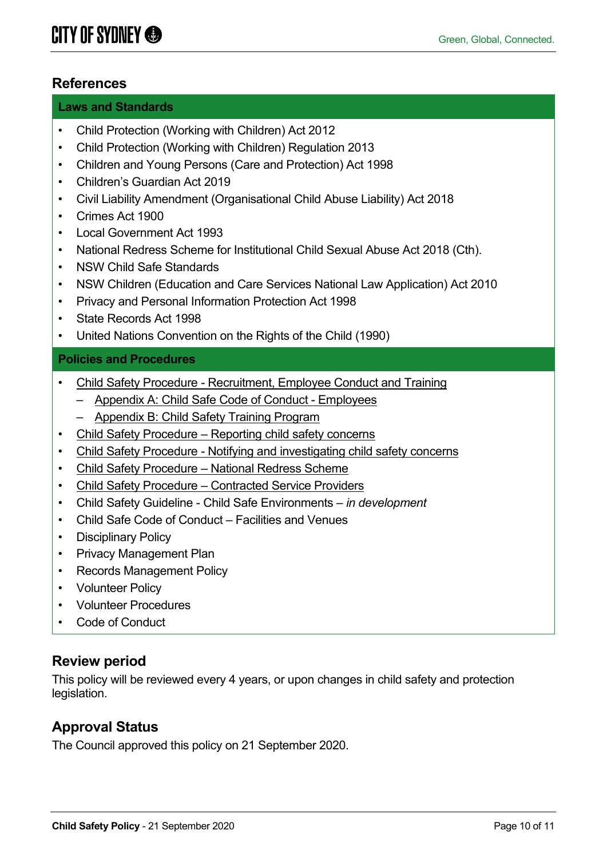## **References**

#### **Laws and Standards**

- Child Protection (Working with Children) Act 2012
- Child Protection (Working with Children) Regulation 2013
- Children and Young Persons (Care and Protection) Act 1998
- Children's Guardian Act 2019
- Civil Liability Amendment (Organisational Child Abuse Liability) Act 2018
- Crimes Act 1900
- Local Government Act 1993
- National Redress Scheme for Institutional Child Sexual Abuse Act 2018 (Cth).
- NSW Child Safe Standards
- NSW Children (Education and Care Services National Law Application) Act 2010
- Privacy and Personal Information Protection Act 1998
- State Records Act 1998
- United Nations Convention on the Rights of the Child (1990)

#### **Policies and Procedures**

- Child Safety Procedure [Recruitment, Employee Conduct](https://record.cityofsydney.nsw.gov.au/2020/427577) and Training
	- [Appendix A: Child Safe Code of Conduct -](https://record.cityofsydney.nsw.gov.au/2020/325983-06) Employees
	- [Appendix B: Child Safety Training Program](https://record.cityofsydney.nsw.gov.au/2020/325983-05)
- Child Safety Procedure [Reporting child safety concerns](https://record.cityofsydney.nsw.gov.au/2020/427575)
- Child Safety Procedure [Notifying and investigating child safety concerns](https://record.cityofsydney.nsw.gov.au/2020/427573)
- Child Safety Procedure [National Redress Scheme](https://record.cityofsydney.nsw.gov.au/2020/427572)
- Child Safety Procedure [Contracted Service Providers](https://record.cityofsydney.nsw.gov.au/2021/563185)
- Child Safety Guideline Child Safe Environments *– in development*
- Child Safe Code of Conduct Facilities and Venues
- Disciplinary Policy
- Privacy Management Plan
- Records Management Policy
- Volunteer Policy
- Volunteer Procedures
- Code of Conduct

#### **Review period**

This policy will be reviewed every 4 years, or upon changes in child safety and protection legislation.

## **Approval Status**

The Council approved this policy on 21 September 2020.